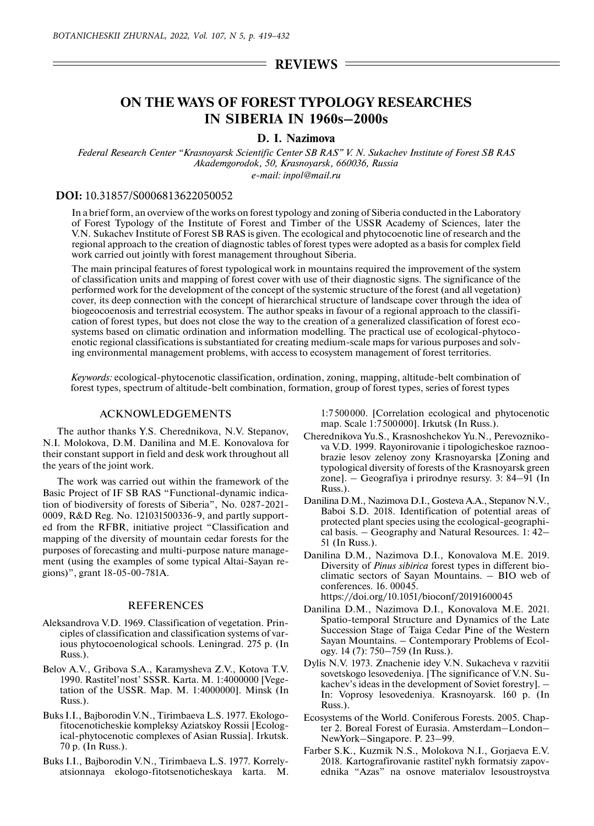## $=$  REVIEWS  $=$

# **ON THE WAYS OF FOREST TYPOLOGY RESEARCHES IN SIBERIA IN 1960s–2000s**

### **D. I. Nazimova**

*Federal Research Center "Krasnoyarsk Scientific Center SB RAS" V. N. Sukachev Institute of Forest SB RAS Akademgorodok, 50, Krasnoyarsk, 660036, Russia*

*e-mail: inpol@mail.ru*

#### **DOI:** 10.31857/S0006813622050052

In a brief form, an overview of the works on forest typology and zoning of Siberia conducted in the Laboratory of Forest Typology of the Institute of Forest and Timber of the USSR Academy of Sciences, later the V.N. Sukachev Institute of Forest SB RAS is given. The ecological and phytocoenotic line of research and the regional approach to the creation of diagnostic tables of forest types were adopted as a basis for complex field work carried out jointly with forest management throughout Siberia.

The main principal features of forest typological work in mountains required the improvement of the system of classification units and mapping of forest cover with use of their diagnostic signs. The significance of the performed work for the development of the concept of the systemic structure of the forest (and all vegetation) cover, its deep connection with the concept of hierarchical structure of landscape cover through the idea of biogeocoenosis and terrestrial ecosystem. The author speaks in favour of a regional approach to the classification of forest types, but does not close the way to the creation of a generalized classification of forest ecosystems based on climatic ordination and information modelling. The practical use of ecological-phytocoenotic regional classifications is substantiated for creating medium-scale maps for various purposes and solving environmental management problems, with access to ecosystem management of forest territories.

*Keywords:* ecological-phytocenotic classification, ordination, zoning, mapping, altitude-belt combination of forest types, spectrum of altitude-belt combination, formation, group of forest types, series of forest types

#### ACKNOWLEDGEMENTS

The author thanks Y.S. Cherednikova, N.V. Stepanov, N.I. Molokova, D.M. Danilina and M.E. Konovalova for their constant support in field and desk work throughout all the years of the joint work.

The work was carried out within the framework of the Basic Project of IF SB RAS "Functional-dynamic indication of biodiversity of forests of Siberia", No. 0287-2021- 0009, R&D Reg. No. 121031500336-9, and partly supported from the RFBR, initiative project "Classification and mapping of the diversity of mountain cedar forests for the purposes of forecasting and multi-purpose nature management (using the examples of some typical Altai-Sayan regions)", grant 18-05-00-781A.

#### REFERENCES

- Aleksandrova V.D. 1969. Classification of vеgetation. Principles of classification and classification systems of various phytocoenological schools. Leningrad. 275 p. (In Russ.).
- Belov A.V., Gribova S.A., Karamysheva Z.V., Kotova T.V. 1990. Rastitel'nost' SSSR. Karta. M. 1:4000000 [Vegetation of the USSR. Map. M. 1:4000000]. Minsk (In Russ.).
- Buks I.I., Bajborodin V.N., Tirimbaeva L.S. 1977. Ekologofitocenoticheskie kompleksy Aziatskoy Rossii [Ecological-phytocenotic complexes of Asian Russia]. Irkutsk. 70 p. (In Russ.).
- Buks I.I., Bajborodin V.N., Tirimbaeva L.S. 1977. Korrelyatsionnaya ekologo-fitotsenoticheskaya karta. M.

1:7500000. [Correlation ecological and phytocenotic map. Scale 1:7500000]. Irkutsk (In Russ.).

- Cherednikova Yu.S., Krasnoshchekov Yu.N., Perevoznikova V.D. 1999. Rayonirovanie i tipologicheskoe raznoobrazie lesov zelenoy zony Krasnoyarska [Zoning and typological diversity of forests of the Krasnoyarsk green zone]. – Geografiya i prirodnye resursy. 3: 84–91 (In Russ.).
- Danilina D.M., Nazimova D.I., Gosteva A.A., Stepanov N.V., Baboi S.D. 2018. Identification of potential areas of protected plant species using the ecological-geographical basis. – Geography and Natural Resources. 1: 42– 51 (In Russ.).
- Danilina D.M., Nazimova D.I., Konovalova M.E. 2019. Diversity of *Pinus sibirica* forest types in different bioclimatic sectors of Sayan Mountains. – BIO web of conferences. 16. 00045. https://doi.org/10.1051/bioconf/20191600045
- Danilina D.M., Nazimova D.I., Konovalova M.E. 2021. Spatio-temporal Structure and Dynamics of the Late Succession Stage of Taiga Cedar Pine of the Western Sayan Mountains. – Contemporary Problems of Ecology. 14 (7): 750–759 (In Russ.).
- Dylis N.V. 1973. Znachenie idey V.N. Sukacheva v razvitii sovetskogo lesovedeniya. [The significance of V.N. Sukachev's ideas in the development of Soviet forestry]. – In: Voprosy lesovedeniya. Krasnoyarsk. 160 p. (In Russ.).
- Ecosystems of the World. Coniferous Forests. 2005. Сhapter 2. Boreal Forest of Eurasia. Amsterdam–London– NewYork–Singapore. P. 23–99.
- Farber S.K., Kuzmik N.S., Molokova N.I., Gorjaeva E.V. 2018. Kartografirovanie rastitel`nykh formatsiy zapovednika "Azas" na osnove materialov lesoustroystva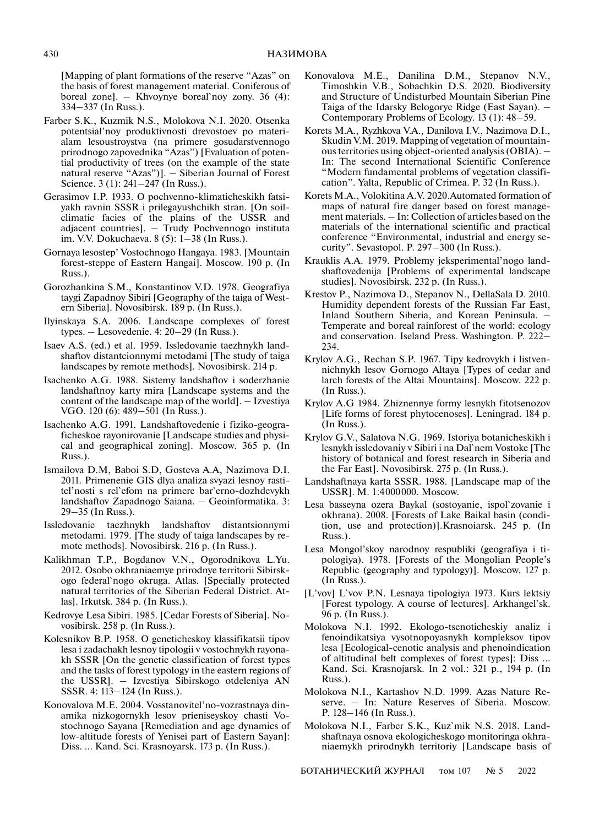[Mapping of plant formations of the reserve "Azas" on the basis of forest management material. Coniferous of boreal zone]. – Khvoynye boreal`noy zony. 36 (4): 334–337 (In Russ.).

- Farber S.K., Kuzmik N.S., Molokova N.I. 2020. Otsenka potentsial'noy produktivnosti drevostoev po materialam lesoustroystva (na primere gosudarstvennogo prirodnogo zapovednika "Azas") [Evaluation of potential productivity of trees (on the example of the state natural reserve "Azas")]. – Siberian Journal of Forest Science. 3 (1): 241–247 (In Russ.).
- Gerasimov I.P. 1933. O pochvenno-klimaticheskikh fatsiyakh ravnin SSSR i prilegayushchikh stran. [On soilclimatic facies of the plains of the USSR and adjacent countries]. – Trudy Pochvennogo instituta im. V.V. Dokuchaeva. 8 (5): 1–38 (In Russ.).
- Gornaya lesostep' Vostochnogo Hangaya. 1983. [Mountain forest-steppe of Eastern Hangai]. Moscow. 190 p. (In Russ.).
- Gorozhankina S.M., Konstantinov V.D. 1978. Geografiya taygi Zapadnoy Sibiri [Geography of the taiga of Western Siberia]. Novosibirsk. 189 p. (In Russ.).
- Ilyinskaya S.A. 2006. Landscape complexes of forest types. – Lesovedenie. 4: 20–29 (In Russ.).
- Isaev A.S. (ed.) et al. 1959. Issledovanie taezhnykh landshaftov distantcionnymi metodami [The study of taiga landscapes by remote methods]. Novosibirsk. 214 p.
- Isachenko A.G. 1988. Sistemy landshaftov i soderzhanie landshaftnoy karty mira [Landscape systems and the content of the landscape map of the world]. – Izvestiya VGO. 120 (6): 489–501 (In Russ.).
- Isachenko A.G. 1991. Landshaftovedenie i fiziko-geograficheskoe rayonirovanie [Landscape studies and physical and geographical zoning]. Moscow. 365 p. (In Russ.).
- Ismailova D.M, Baboi S.D, Gosteva A.A, Nazimova D.I. 2011. Primenenie GIS dlya analiza svyazi lesnoy rastitel'nosti s rel`efom na primere bar`erno-dozhdevykh landshaftov Zapadnogo Saiana. – Geoinformatika. 3: 29–35 (In Russ.).
- Issledovanie taezhnykh landshaftov distantsionnymi metodami. 1979. [The study of taiga landscapes by remote methods]. Novosibirsk. 216 p. (In Russ.).
- Kalikhman T.P., Bogdanov V.N., Ogorodnikova L.Yu. 2012. Osobo okhraniaemye prirodnye territorii Sibirskogo federal`nogo okruga. Atlas. [Specially protected natural territories of the Siberian Federal District. Atlas]. Irkutsk. 384 p. (In Russ.).
- Kedrovye Lesa Sibiri. 1985. [Cedar Forests of Siberia]. Novosibirsk. 258 p. (In Russ.).
- Kolesnikov B.P. 1958. O geneticheskoy klassifikatsii tipov lesa i zadachakh lesnoy tipologii v vostochnykh rayonakh SSSR [On the genetic classification of forest types and the tasks of forest typology in the eastern regions of the USSR]. – Izvestiya Sibirskogo otdeleniya AN SSSR. 4: 113–124 (In Russ.).
- Konovalova M.E. 2004. Vosstanovitel'no-vozrastnaya dinamika nizkogornykh lesov prieniseyskoy chasti Vostochnogo Sayana [Remediation and age dynamics of low-altitude forests of Yenisei part of Eastern Sayan]: Diss. … Kand. Sci. Krasnoyarsk. 173 p. (In Russ.).
- Konovalova M.E., Danilina D.M., Stepanov N.V., Timoshkin V.B., Sobachkin D.S. 2020. Biodiversity and Structure of Undisturbed Mountain Siberian Pine Taiga of the Idarsky Belogorye Ridge (East Sayan). – Contemporary Problems of Ecology. 13 (1): 48–59.
- Korets M.A., Ryzhkova V.A., Danilova I.V., Nazimova D.I., Skudin V.M. 2019. Mapping of vegetation of mountainous territories using object-oriented analysis (OBIA). – In: The second International Scientific Conference "Modern fundamental problems of vegetation classification". Yalta, Republic of Crimea. P. 32 (In Russ.).
- Korets M.A., Volokitina A.V. 2020.Automated formation of maps of natural fire danger based on forest management materials. – In: Collection of articles based on the materials of the international scientific and practical conference "Environmental, industrial and energy security". Sevastopol. P. 297–300 (In Russ.).
- Krauklis A.A. 1979. Problemy jeksperimental'nogo landshaftovedenija [Problems of experimental landscape studies]. Novosibirsk. 232 p. (In Russ.).
- Krestov P., Nazimova D., Stepanov N., DellaSala D. 2010. Humidity dependent forests of the Russian Far East, Inland Southern Siberia, and Korean Peninsula. – Temperate and boreal rainforest of the world: ecology and conservation. Iseland Press. Washington. P. 222– 234.
- Krylov A.G., Rechan S.P. 1967. Tipy kedrovykh i listvennichnykh lesov Gornogo Altaya [Types of cedar and larch forests of the Altai Mountains]. Moscow. 222 p. (In Russ.).
- Krylov A.G 1984. Zhiznennye formy lesnykh fitotsenozov [Life forms of forest phytocenoses]. Leningrad. 184 p. (In Russ.).
- Krylov G.V., Salatova N.G. 1969. Istoriya botanicheskikh i lesnykh issledovaniy v Sibiri i na Dal`nem Vostoke [The history of botanical and forest research in Siberia and the Far East]. Novosibirsk. 275 p. (In Russ.).
- Landshaftnaya karta SSSR. 1988. [Landscape map of the USSR]. M. 1:4000000. Moscow.
- Lesa basseyna ozera Baykal (sostoyanie, ispol`zovanie i okhrana). 2008. [Forests of Lake Baikal basin (condition, use and protection)].Krasnoiarsk. 245 p. (In Russ.).
- Lesa Mongol'skoy narodnoy respubliki (geografiya i tipologiya). 1978. [Forests of the Mongolian People's Republic (geography and typology)]. Moscow. 127 p. (In Russ.).
- [L'vov] L`vov P.N. Lesnaya tipologiya 1973. Kurs lektsiy [Forest typology. A course of lectures]. Arkhangel`sk. 96 p. (In Russ.).
- Molokova N.I. 1992. Ekologo-tsenoticheskiy analiz i fenoindikatsiya vysotnopoyasnykh kompleksov tipov lesa [Ecological-cenotic analysis and phenoindication of altitudinal belt complexes of forest types]: Diss … Kand. Sci. Krasnojarsk. In 2 vol.: 321 p., 194 p. (In Russ.).
- Molokova N.I., Kartashov N.D. 1999. Azas Nature Reserve. – In: Nature Reserves of Siberia. Moscow. P. 128–146 (In Russ.).
- Molokova N.I., Farber S.K., Kuz`mik N.S. 2018. Landshaftnaya osnova ekologicheskogo monitoringa okhraniaemykh prirodnykh territoriy [Landscape basis of

БОТАНИЧЕСКИЙ ЖУРНАЛ том 107 № 5 2022

430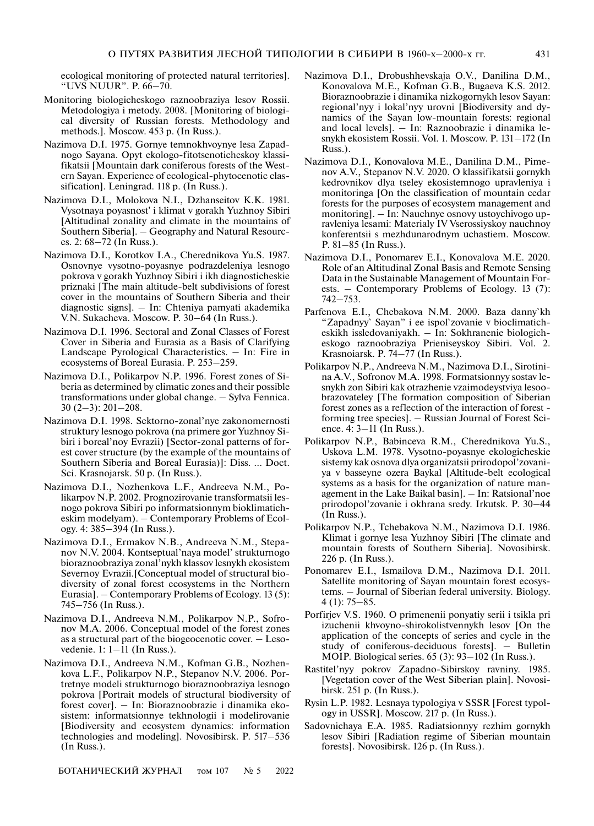ecological monitoring of protected natural territories]. "UVS NUUR". P. 66–70.

- Monitoring biologicheskogo raznoobraziya lesov Rossii. Metodologiya i metody. 2008. [Monitoring of biological diversity of Russian forests. Methodology and methods.]. Moscow. 453 p. (In Russ.).
- Nazimova D.I. 1975. Gornye temnokhvoynye lesa Zapadnogo Sayana. Opyt ekologo-fitotsenoticheskoy klassifikatsii [Mountain dark coniferous forests of the Western Sayan. Experience of ecological-phytocenotic classification]. Leningrad. 118 p. (In Russ.).
- Nazimova D.I., Molokova N.I., Dzhanseitov K.K. 1981. Vysotnaya poyasnost' i klimat v gorakh Yuzhnoy Sibiri [Altitudinal zonality and climate in the mountains of Southern Siberia]. – Geography and Natural Resources. 2: 68–72 (In Russ.).
- Nazimova D.I., Korotkov I.A., Cherednikova Yu.S. 1987. Osnovnye vysotno-poyasnye podrazdeleniya lesnogo pokrova v gorakh Yuzhnoy Sibiri i ikh diagnosticheskie priznaki [The main altitude-belt subdivisions of forest cover in the mountains of Southern Siberia and their diagnostic signs]. – In: Chteniya pamyati akademika V.N. Sukacheva. Moscow. P. 30–64 (In Russ.).
- Nazimova D.I. 1996. Sectoral and Zonal Classes of Forest Cover in Siberia and Eurasia as a Basis of Clarifying Landscape Pyrological Characteristics. – In: Fire in ecosystems of Boreal Eurasia. P. 253–259.
- Nazimova D.I., Polikarpov N.P. 1996. Forest zones of Siberia as determined by climatic zones and their possible transformations under global change. – Sylva Fennica. 30 (2–3): 201–208.
- Nazimova D.I. 1998. Sektorno-zonal'nye zakonomernosti struktury lesnogo pokrova (na primere gor Yuzhnoy Sibiri i boreal'noy Evrazii) [Sector-zonal patterns of forest cover structure (by the example of the mountains of Southern Siberia and Boreal Eurasia)]: Diss. … Doct. Sci. Krasnojarsk. 50 p. (In Russ.).
- Nazimova D.I., Nozhenkova L.F., Andreeva N.M., Polikarpov N.P. 2002. Prognozirovanie transformatsii lesnogo pokrova Sibiri po informatsionnym bioklimaticheskim modelyam). – Contemporary Problems of Ecology. 4: 385–394 (In Russ.).
- Nazimova D.I., Ermakov N.B., Andreeva N.M., Stepanov N.V. 2004. Kontseptual'naya model' strukturnogo bioraznoobraziya zonal'nykh klassov lesnykh ekosistem Severnoy Evrazii.[Conceptual model of structural biodiversity of zonal forest ecosystems in the Northern Eurasia]. – Contemporary Problems of Ecology. 13 (5): 745–756 (In Russ.).
- Nazimova D.I., Andreeva N.M., Polikarpov N.P., Sofronov M.A. 2006. Conceptual model of the forest zones as a structural part of the biogeocenotic cover. – Lesovedenie. 1: 1–11 (In Russ.).
- Nazimova D.I., Andreeva N.M., Kofman G.B., Nozhenkova L.F., Polikarpov N.P., Stepanov N.V. 2006. Portretnye modeli strukturnogo bioraznoobraziya lesnogo pokrova [Portrait models of structural biodiversity of forest cover]. – In: Bioraznoobrazie i dinamika ekosistem: informatsionnye tekhnologii i modelirovanie [Biodiversity and ecosystem dynamics: information technologies and modeling]. Novosibirsk. P. 517–536 (In Russ.).
- Nazimova D.I., Drobushhevskaja O.V., Danilina D.M., Konovalova M.E., Kofman G.B., Bugaeva K.S. 2012. Bioraznoobrazie i dinamika nizkogornykh lesov Sayan: regional'nyy i lokal'nyy urovni [Biodiversity and dynamics of the Sayan low-mountain forests: regional and local levels]. – In: Raznoobrazie i dinamika lesnykh ekosistem Rossii. Vol. 1. Moscow. P. 131–172 (In Russ.).
- Nazimova D.I., Konovalova M.E., Danilina D.M., Pimenov A.V., Stepanov N.V. 2020. O klassifikatsii gornykh kedrovnikov dlya tseley ekosistemnogo upravleniya i monitoringa [On the classification of mountain cedar forests for the purposes of ecosystem management and monitoring]. – In: Nauchnye osnovy ustoychivogo upravleniya lesami: Materialy IV Vserossiyskoy nauchnoy konferentsii s mezhdunarodnym uchastiem. Moscow. P. 81–85 (In Russ.).
- Nazimova D.I., Ponomarev E.I., Konovalova M.E. 2020. Role of an Altitudinal Zonal Basis and Remote Sensing Data in the Sustainable Management of Mountain Forests. – Contemporary Problems of Ecology. 13 (7): 742–753.
- Parfenova E.I., Chebakova N.M. 2000. Baza danny`kh "Zapadnyy` Sayan" i ee ispol`zovanie v bioclimaticheskikh issledovaniyakh. – In: Sokhranenie biologicheskogo raznoobraziya Prieniseyskoy Sibiri. Vol. 2. Krasnoiarsk. P. 74–77 (In Russ.).
- Polikarpov N.P., Andreeva N.M., Nazimova D.I., Sirotinina A.V., Sofronov M.A. 1998. Formatsionnyy sostav lesnykh zon Sibiri kak otrazhenie vzaimodeystviya lesoobrazovateley [The formation composition of Siberian forest zones as a reflection of the interaction of forest forming tree species]. – Russian Journal of Forest Science. 4: 3–11 (In Russ.).
- Polikarpov N.P., Babinceva R.M., Cherednikova Yu.S., Uskova L.M. 1978. Vysotno-poyasnye ekologicheskie sistemy kak osnova dlya organizatsii prirodopol'zovaniya v basseyne ozera Baykal [Altitude-belt ecological systems as a basis for the organization of nature management in the Lake Baikal basin]. – In: Ratsional'noe prirodopol'zovanie i okhrana sredy. Irkutsk. P. 30–44 (In Russ.).
- Polikarpov N.P., Tchebakova N.M., Nazimova D.I. 1986. Klimat i gornye lesa Yuzhnoy Sibiri [The climate and mountain forests of Southern Siberia]. Novosibirsk. 226 p. (In Russ.).
- Ponomarev E.I., Ismailova D.M., Nazimova D.I. 2011. Satellite monitoring of Sayan mountain forest ecosystems. – Journal of Siberian federal university. Biology. 4 (1): 75–85.
- Porfirjev V.S. 1960. O primenenii ponyatiy serii i tsikla pri izuchenii khvoyno-shirokolistvennykh lesov [On the application of the concepts of series and cycle in the study of coniferous-deciduous forests]. – Bulletin MOIP. Biological series. 65 (3): 93–102 (In Russ.).
- Rastitel'nyy pokrov Zapadno-Sibirskoy ravniny. 1985. [Vegetation cover of the West Siberian plain]. Novosibirsk. 251 p. (In Russ.).
- Rysin L.P. 1982. Lesnaya typologiya v SSSR [Forest typology in USSR]. Moscow. 217 p. (In Russ.).
- Sadovnichaya E.A. 1985. Radiatsionnyy rezhim gornykh lesov Sibiri [Radiation regime of Siberian mountain forests]. Novosibirsk. 126 p. (In Russ.).